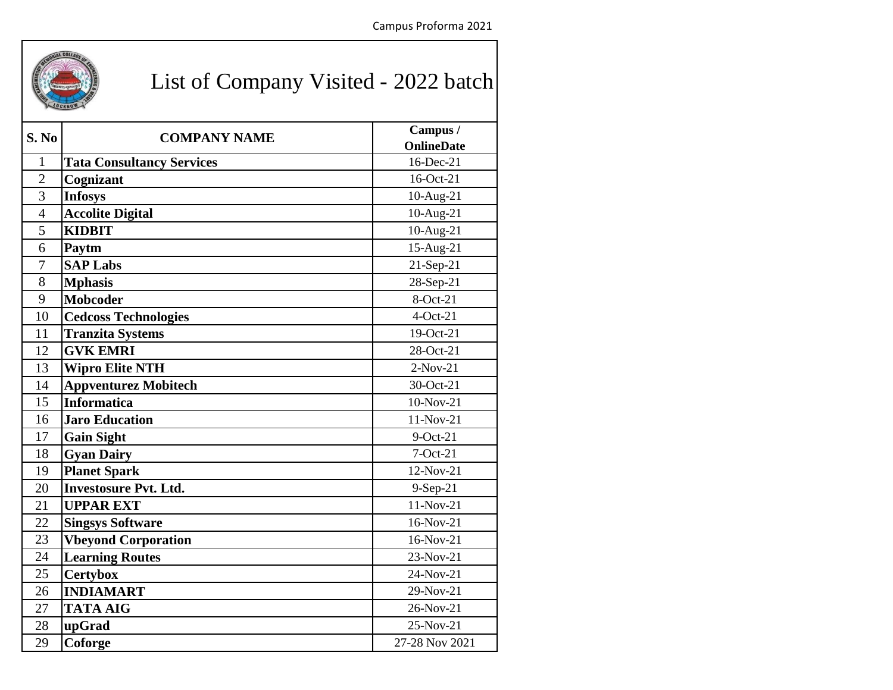

## List of Company Visited - 2022 batch

| S. No          | <b>COMPANY NAME</b>              | Campus /<br><b>OnlineDate</b> |
|----------------|----------------------------------|-------------------------------|
| $\mathbf{1}$   | <b>Tata Consultancy Services</b> | 16-Dec-21                     |
| $\overline{2}$ | Cognizant                        | 16-Oct-21                     |
| 3              | <b>Infosys</b>                   | 10-Aug-21                     |
| $\overline{4}$ | <b>Accolite Digital</b>          | 10-Aug-21                     |
| 5              | <b>KIDBIT</b>                    | 10-Aug-21                     |
| 6              | Paytm                            | 15-Aug-21                     |
| $\overline{7}$ | <b>SAP Labs</b>                  | 21-Sep-21                     |
| 8              | <b>Mphasis</b>                   | 28-Sep-21                     |
| 9              | <b>Mobcoder</b>                  | 8-Oct-21                      |
| 10             | <b>Cedcoss Technologies</b>      | $4-Oct-21$                    |
| 11             | <b>Tranzita Systems</b>          | 19-Oct-21                     |
| 12             | <b>GVK EMRI</b>                  | 28-Oct-21                     |
| 13             | <b>Wipro Elite NTH</b>           | $2-Nov-21$                    |
| 14             | <b>Appventurez Mobitech</b>      | 30-Oct-21                     |
| 15             | <b>Informatica</b>               | 10-Nov-21                     |
| 16             | <b>Jaro Education</b>            | 11-Nov-21                     |
| 17             | <b>Gain Sight</b>                | $9$ -Oct-21                   |
| 18             | <b>Gyan Dairy</b>                | $7-Oct-21$                    |
| 19             | <b>Planet Spark</b>              | 12-Nov-21                     |
| 20             | <b>Investosure Pvt. Ltd.</b>     | 9-Sep-21                      |
| 21             | <b>UPPAR EXT</b>                 | 11-Nov-21                     |
| 22             | <b>Singsys Software</b>          | 16-Nov-21                     |
| 23             | <b>Vbeyond Corporation</b>       | 16-Nov-21                     |
| 24             | <b>Learning Routes</b>           | 23-Nov-21                     |
| 25             | <b>Certybox</b>                  | 24-Nov-21                     |
| 26             | <b>INDIAMART</b>                 | 29-Nov-21                     |
| 27             | <b>TATA AIG</b>                  | 26-Nov-21                     |
| 28             | upGrad                           | 25-Nov-21                     |
| 29             | Coforge                          | 27-28 Nov 2021                |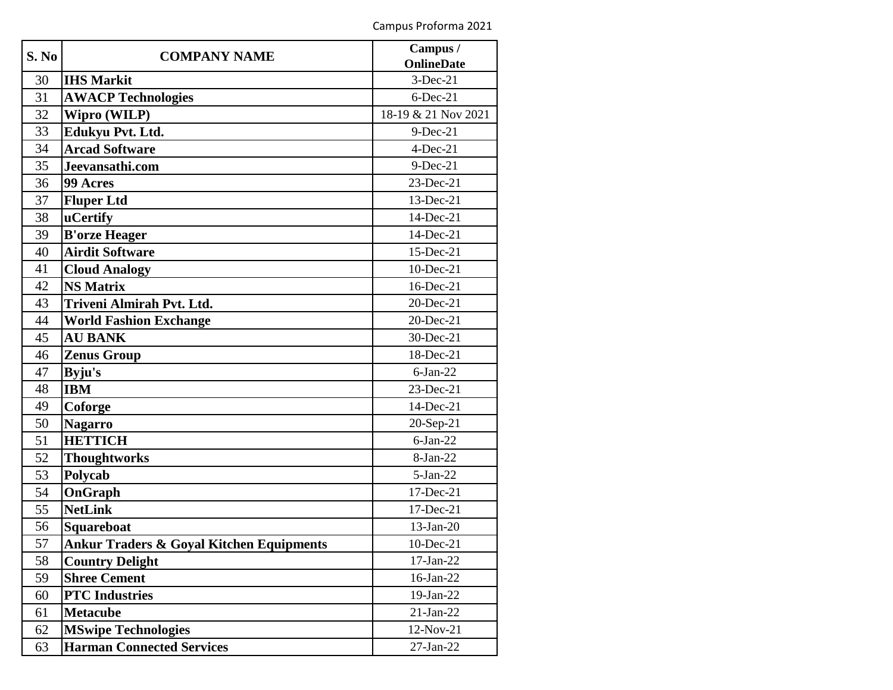| S. No | <b>COMPANY NAME</b>                                 | Campus /            |
|-------|-----------------------------------------------------|---------------------|
|       |                                                     | <b>OnlineDate</b>   |
| 30    | <b>IHS Markit</b>                                   | $3-Dec-21$          |
| 31    | <b>AWACP Technologies</b>                           | $6$ -Dec-21         |
| 32    | <b>Wipro (WILP)</b>                                 | 18-19 & 21 Nov 2021 |
| 33    | Edukyu Pvt. Ltd.                                    | $9$ -Dec-21         |
| 34    | <b>Arcad Software</b>                               | $4$ -Dec-21         |
| 35    | Jeevansathi.com                                     | $9$ -Dec-21         |
| 36    | 99 Acres                                            | 23-Dec-21           |
| 37    | <b>Fluper Ltd</b>                                   | 13-Dec-21           |
| 38    | <b>uCertify</b>                                     | 14-Dec-21           |
| 39    | <b>B'orze Heager</b>                                | 14-Dec-21           |
| 40    | <b>Airdit Software</b>                              | 15-Dec-21           |
| 41    | <b>Cloud Analogy</b>                                | $10$ -Dec-21        |
| 42    | <b>NS Matrix</b>                                    | 16-Dec-21           |
| 43    | Triveni Almirah Pvt. Ltd.                           | 20-Dec-21           |
| 44    | <b>World Fashion Exchange</b>                       | 20-Dec-21           |
| 45    | <b>AU BANK</b>                                      | 30-Dec-21           |
| 46    | <b>Zenus Group</b>                                  | 18-Dec-21           |
| 47    | Byju's                                              | $6$ -Jan-22         |
| 48    | <b>IBM</b>                                          | 23-Dec-21           |
| 49    | Coforge                                             | 14-Dec-21           |
| 50    | <b>Nagarro</b>                                      | 20-Sep-21           |
| 51    | <b>HETTICH</b>                                      | $6-Jan-22$          |
| 52    | <b>Thoughtworks</b>                                 | 8-Jan-22            |
| 53    | Polycab                                             | $5-Ian-22$          |
| 54    | OnGraph                                             | 17-Dec-21           |
| 55    | <b>NetLink</b>                                      | 17-Dec-21           |
| 56    | <b>Squareboat</b>                                   | $13-Jan-20$         |
| 57    | <b>Ankur Traders &amp; Goyal Kitchen Equipments</b> | 10-Dec-21           |
| 58    | <b>Country Delight</b>                              | 17-Jan-22           |
| 59    | <b>Shree Cement</b>                                 | 16-Jan-22           |
| 60    | <b>PTC</b> Industries                               | 19-Jan-22           |
| 61    | <b>Metacube</b>                                     | $21-Jan-22$         |
| 62    | <b>MSwipe Technologies</b>                          | 12-Nov-21           |
| 63    | <b>Harman Connected Services</b>                    | $27$ -Jan- $22$     |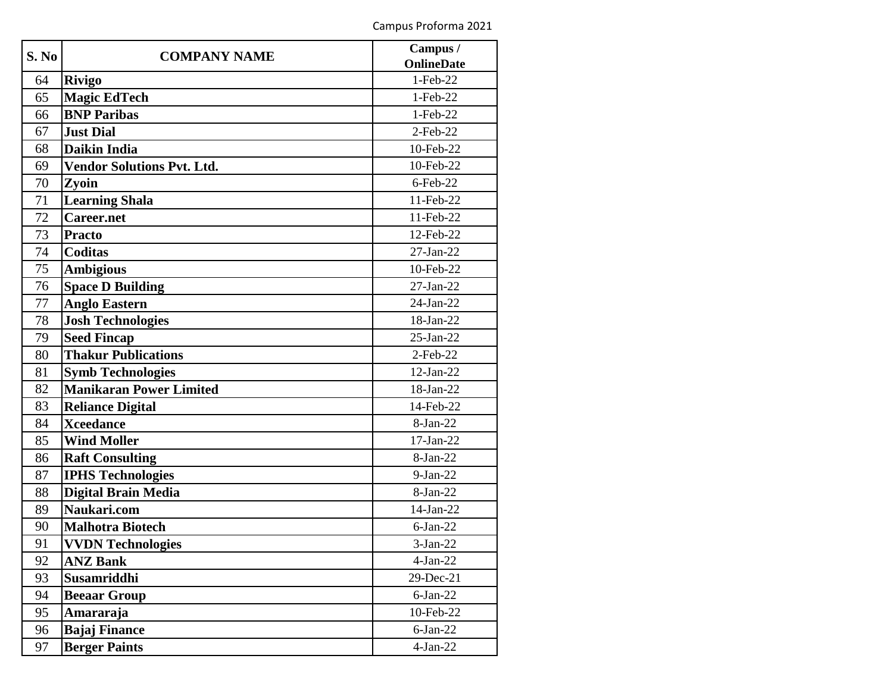| S. No | <b>COMPANY NAME</b>               | Campus /          |
|-------|-----------------------------------|-------------------|
|       |                                   | <b>OnlineDate</b> |
| 64    | <b>Rivigo</b>                     | $1-Feb-22$        |
| 65    | <b>Magic EdTech</b>               | 1-Feb-22          |
| 66    | <b>BNP Paribas</b>                | 1-Feb-22          |
| 67    | <b>Just Dial</b>                  | $2$ -Feb-22       |
| 68    | Daikin India                      | 10-Feb-22         |
| 69    | <b>Vendor Solutions Pvt. Ltd.</b> | 10-Feb-22         |
| 70    | Zvoin                             | $6$ -Feb-22       |
| 71    | <b>Learning Shala</b>             | 11-Feb-22         |
| 72    | <b>Career.net</b>                 | 11-Feb-22         |
| 73    | <b>Practo</b>                     | 12-Feb-22         |
| 74    | <b>Coditas</b>                    | $27$ -Jan- $22$   |
| 75    | <b>Ambigious</b>                  | 10-Feb-22         |
| 76    | <b>Space D Building</b>           | $27-Jan-22$       |
| 77    | <b>Anglo Eastern</b>              | $24$ -Jan-22      |
| 78    | <b>Josh Technologies</b>          | 18-Jan-22         |
| 79    | <b>Seed Fincap</b>                | $25$ -Jan- $22$   |
| 80    | <b>Thakur Publications</b>        | $2$ -Feb-22       |
| 81    | <b>Symb Technologies</b>          | $12$ -Jan-22      |
| 82    | <b>Manikaran Power Limited</b>    | 18-Jan-22         |
| 83    | <b>Reliance Digital</b>           | 14-Feb-22         |
| 84    | <b>Xceedance</b>                  | 8-Jan-22          |
| 85    | <b>Wind Moller</b>                | $17-Jan-22$       |
| 86    | <b>Raft Consulting</b>            | 8-Jan-22          |
| 87    | <b>IPHS Technologies</b>          | $9-Jan-22$        |
| 88    | <b>Digital Brain Media</b>        | 8-Jan-22          |
| 89    | Naukari.com                       | 14-Jan-22         |
| 90    | <b>Malhotra Biotech</b>           | $6$ -Jan-22       |
| 91    | <b>VVDN Technologies</b>          | $3-Jan-22$        |
| 92    | <b>ANZ Bank</b>                   | $4-Jan-22$        |
| 93    | Susamriddhi                       | 29-Dec-21         |
| 94    | <b>Beeaar Group</b>               | $6$ -Jan-22       |
| 95    | Amararaja                         | 10-Feb-22         |
| 96    | <b>Bajaj Finance</b>              | $6-Jan-22$        |
| 97    | <b>Berger Paints</b>              | $4-Jan-22$        |